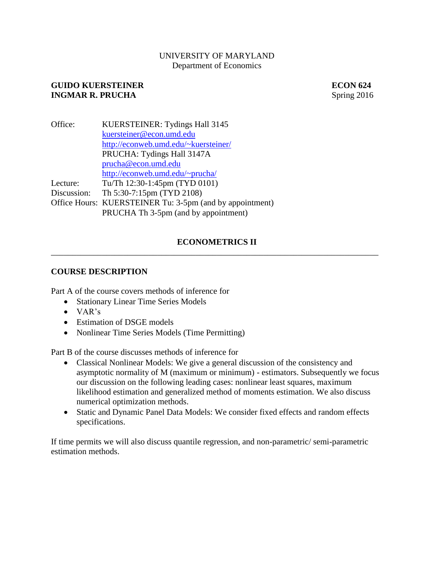# UNIVERSITY OF MARYLAND Department of Economics

# **GUIDO KUERSTEINER ECON 624**<br> **INGMAR R. PRUCHA EXPRESS Spring 2016 INGMAR R. PRUCHA**

| Office:     | KUERSTEINER: Tydings Hall 3145                           |
|-------------|----------------------------------------------------------|
|             | kuersteiner@econ.umd.edu                                 |
|             | http://econweb.umd.edu/~kuersteiner/                     |
|             | PRUCHA: Tydings Hall 3147A                               |
|             | prucha@econ.umd.edu                                      |
|             | http://econweb.umd.edu/~prucha/                          |
| Lecture:    | Tu/Th 12:30-1:45pm (TYD 0101)                            |
| Discussion: | Th 5:30-7:15pm (TYD 2108)                                |
|             | Office Hours: KUERSTEINER Tu: 3-5pm (and by appointment) |
|             | PRUCHA Th 3-5pm (and by appointment)                     |

# **ECONOMETRICS II** \_\_\_\_\_\_\_\_\_\_\_\_\_\_\_\_\_\_\_\_\_\_\_\_\_\_\_\_\_\_\_\_\_\_\_\_\_\_\_\_\_\_\_\_\_\_\_\_\_\_\_\_\_\_\_\_\_\_\_\_\_\_\_\_\_\_\_\_\_\_\_\_\_\_\_\_\_

# **COURSE DESCRIPTION**

Part A of the course covers methods of inference for

- Stationary Linear Time Series Models
- $\bullet$  VAR's
- Estimation of DSGE models
- Nonlinear Time Series Models (Time Permitting)

Part B of the course discusses methods of inference for

- Classical Nonlinear Models: We give a general discussion of the consistency and asymptotic normality of M (maximum or minimum) - estimators. Subsequently we focus our discussion on the following leading cases: nonlinear least squares, maximum likelihood estimation and generalized method of moments estimation. We also discuss numerical optimization methods.
- Static and Dynamic Panel Data Models: We consider fixed effects and random effects specifications.

If time permits we will also discuss quantile regression, and non-parametric/ semi-parametric estimation methods.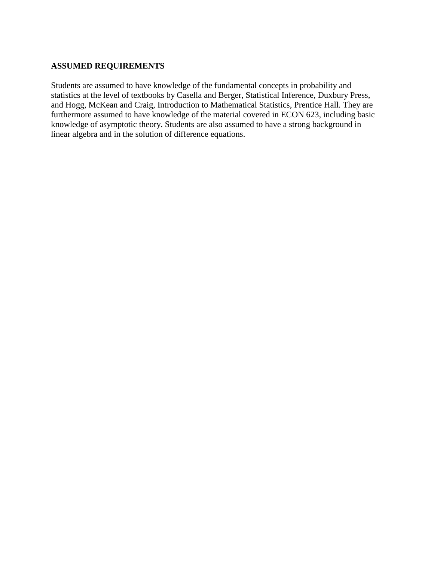### **ASSUMED REQUIREMENTS**

Students are assumed to have knowledge of the fundamental concepts in probability and statistics at the level of textbooks by Casella and Berger, Statistical Inference, Duxbury Press, and Hogg, McKean and Craig, Introduction to Mathematical Statistics, Prentice Hall. They are furthermore assumed to have knowledge of the material covered in ECON 623, including basic knowledge of asymptotic theory. Students are also assumed to have a strong background in linear algebra and in the solution of difference equations.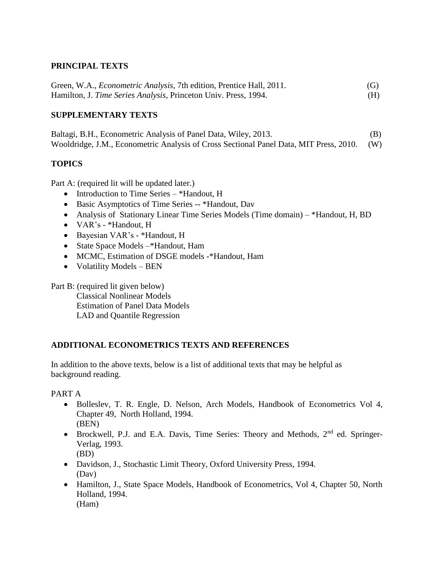# **PRINCIPAL TEXTS**

Green, W.A., *Econometric Analysis*, 7th edition, Prentice Hall, 2011. (G) Hamilton, J. *Time Series Analysis*, Princeton Univ. Press, 1994. (H)

# **SUPPLEMENTARY TEXTS**

Baltagi, B.H., Econometric Analysis of Panel Data, Wiley, 2013. (B) Wooldridge, J.M., Econometric Analysis of Cross Sectional Panel Data, MIT Press, 2010. (W)

# **TOPICS**

Part A: (required lit will be updated later.)

- Introduction to Time Series \*Handout, H
- Basic Asymptotics of Time Series -- \*Handout, Dav
- Analysis of Stationary Linear Time Series Models (Time domain) \*Handout, H, BD
- VAR's \*Handout, H
- Bayesian VAR's \*Handout, H
- State Space Models –\*Handout, Ham
- MCMC, Estimation of DSGE models -\*Handout, Ham
- $\bullet$  Volatility Models BEN

Part B: (required lit given below) Classical Nonlinear Models Estimation of Panel Data Models LAD and Quantile Regression

# **ADDITIONAL ECONOMETRICS TEXTS AND REFERENCES**

In addition to the above texts, below is a list of additional texts that may be helpful as background reading.

#### PART A

- Bolleslev, T. R. Engle, D. Nelson, Arch Models, Handbook of Econometrics Vol 4, Chapter 49, North Holland, 1994. (BEN)
- **Brockwell, P.J. and E.A. Davis, Time Series: Theory and Methods,**  $2^{nd}$  **ed. Springer-**Verlag, 1993.
	- (BD)
- Davidson, J., Stochastic Limit Theory, Oxford University Press, 1994. (Dav)
- Hamilton, J., State Space Models, Handbook of Econometrics, Vol 4, Chapter 50, North Holland, 1994. (Ham)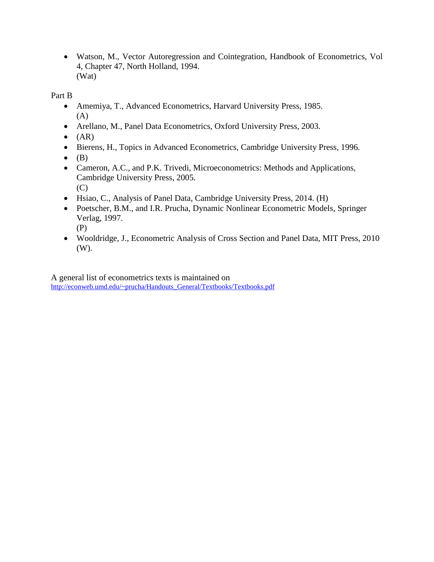Watson, M., Vector Autoregression and Cointegration, Handbook of Econometrics, Vol 4, Chapter 47, North Holland, 1994. (Wat)

Part B

- Amemiya, T., Advanced Econometrics, Harvard University Press, 1985. (A)
- Arellano, M., Panel Data Econometrics, Oxford University Press, 2003.
- $\bullet$  (AR)
- Bierens, H., Topics in Advanced Econometrics, Cambridge University Press, 1996.
- $\bullet$  (B)
- Cameron, A.C., and P.K. Trivedi, Microeconometrics: Methods and Applications, Cambridge University Press, 2005. (C)
- Hsiao, C., Analysis of Panel Data, Cambridge University Press, 2014. (H)
- Poetscher, B.M., and I.R. Prucha, Dynamic Nonlinear Econometric Models, Springer Verlag, 1997.

(P)

 Wooldridge, J., Econometric Analysis of Cross Section and Panel Data, MIT Press, 2010 (W).

A general list of econometrics texts is maintained on [http://econweb.umd.edu/~prucha/Handouts\\_General/Textbooks/Textbooks.pdf](http://econweb.umd.edu/~prucha/Handouts_General/Textbooks/Textbooks.pdf)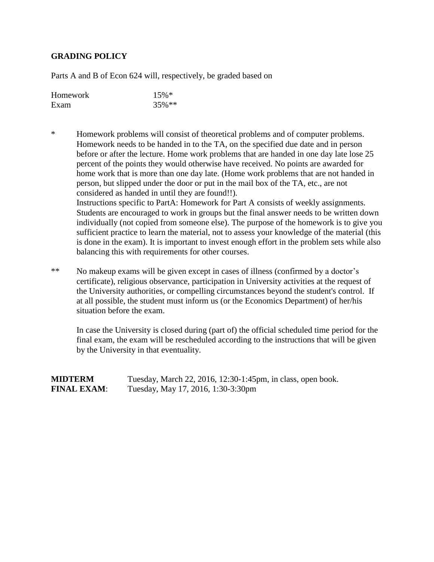### **GRADING POLICY**

Parts A and B of Econ 624 will, respectively, be graded based on

| Homework | $15\%*$  |
|----------|----------|
| Exam     | $35\%**$ |

- \* Homework problems will consist of theoretical problems and of computer problems. Homework needs to be handed in to the TA, on the specified due date and in person before or after the lecture. Home work problems that are handed in one day late lose 25 percent of the points they would otherwise have received. No points are awarded for home work that is more than one day late. (Home work problems that are not handed in person, but slipped under the door or put in the mail box of the TA, etc., are not considered as handed in until they are found!!). Instructions specific to PartA: Homework for Part A consists of weekly assignments. Students are encouraged to work in groups but the final answer needs to be written down individually (not copied from someone else). The purpose of the homework is to give you sufficient practice to learn the material, not to assess your knowledge of the material (this is done in the exam). It is important to invest enough effort in the problem sets while also balancing this with requirements for other courses.
- \*\* No makeup exams will be given except in cases of illness (confirmed by a doctor's certificate), religious observance, participation in University activities at the request of the University authorities, or compelling circumstances beyond the student's control. If at all possible, the student must inform us (or the Economics Department) of her/his situation before the exam.

In case the University is closed during (part of) the official scheduled time period for the final exam, the exam will be rescheduled according to the instructions that will be given by the University in that eventuality.

**MIDTERM** Tuesday, March 22, 2016, 12:30-1:45pm, in class, open book. **FINAL EXAM:** Tuesday, May 17, 2016, 1:30-3:30pm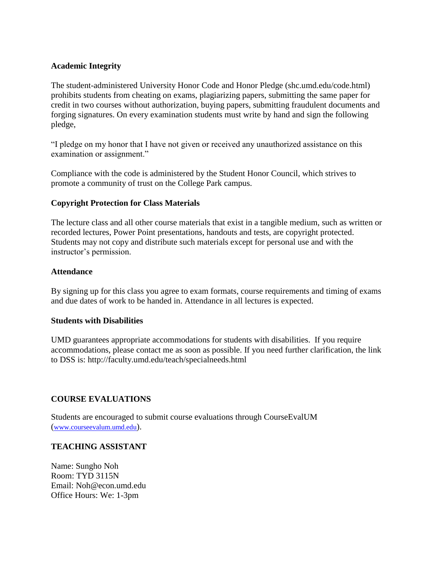### **Academic Integrity**

The student-administered University Honor Code and Honor Pledge (shc.umd.edu/code.html) prohibits students from cheating on exams, plagiarizing papers, submitting the same paper for credit in two courses without authorization, buying papers, submitting fraudulent documents and forging signatures. On every examination students must write by hand and sign the following pledge,

"I pledge on my honor that I have not given or received any unauthorized assistance on this examination or assignment."

Compliance with the code is administered by the Student Honor Council, which strives to promote a community of trust on the College Park campus.

#### **Copyright Protection for Class Materials**

The lecture class and all other course materials that exist in a tangible medium, such as written or recorded lectures, Power Point presentations, handouts and tests, are copyright protected. Students may not copy and distribute such materials except for personal use and with the instructor's permission.

#### **Attendance**

By signing up for this class you agree to exam formats, course requirements and timing of exams and due dates of work to be handed in. Attendance in all lectures is expected.

#### **Students with Disabilities**

UMD guarantees appropriate accommodations for students with disabilities. If you require accommodations, please contact me as soon as possible. If you need further clarification, the link to DSS is: http://faculty.umd.edu/teach/specialneeds.html

#### **COURSE EVALUATIONS**

Students are encouraged to submit course evaluations through CourseEvalUM ([www.courseevalum.umd.edu](http://www.courseevalum.umd.edu/)).

#### **TEACHING ASSISTANT**

Name: Sungho Noh Room: TYD 3115N Email: Noh@econ.umd.edu Office Hours: We: 1-3pm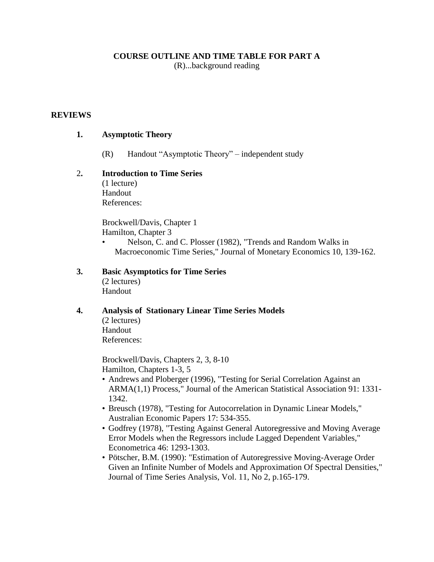### **COURSE OUTLINE AND TIME TABLE FOR PART A**

(R)...background reading

#### **REVIEWS**

#### **1. Asymptotic Theory**

(R) Handout "Asymptotic Theory" – independent study

# 2**. Introduction to Time Series**

(1 lecture) Handout References:

Brockwell/Davis, Chapter 1 Hamilton, Chapter 3

• Nelson, C. and C. Plosser (1982), "Trends and Random Walks in Macroeconomic Time Series," Journal of Monetary Economics 10, 139-162.

# **3. Basic Asymptotics for Time Series**

(2 lectures) Handout

#### **4. Analysis of Stationary Linear Time Series Models**

(2 lectures) Handout References:

Brockwell/Davis, Chapters 2, 3, 8-10 Hamilton, Chapters 1-3, 5

- Andrews and Ploberger (1996), "Testing for Serial Correlation Against an ARMA(1,1) Process," Journal of the American Statistical Association 91: 1331- 1342.
- Breusch (1978), "Testing for Autocorrelation in Dynamic Linear Models," Australian Economic Papers 17: 534-355.
- Godfrey (1978), "Testing Against General Autoregressive and Moving Average Error Models when the Regressors include Lagged Dependent Variables," Econometrica 46: 1293-1303.
- Pötscher, B.M. (1990): "Estimation of Autoregressive Moving-Average Order Given an Infinite Number of Models and Approximation Of Spectral Densities," Journal of Time Series Analysis, Vol. 11, No 2, p.165-179.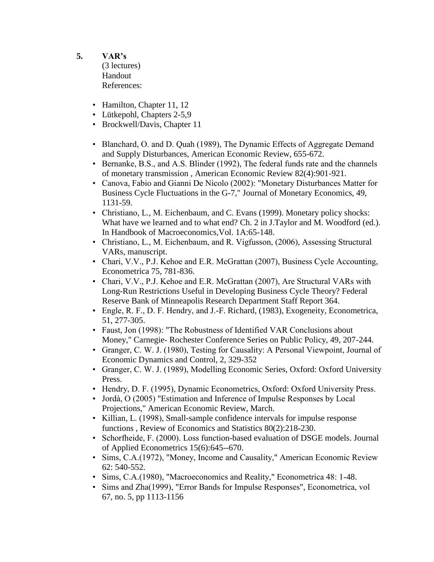- **5. VAR's** (3 lectures) Handout References:
	- Hamilton, Chapter 11, 12
	- Lütkepohl, Chapters 2-5,9
	- Brockwell/Davis, Chapter 11
	- Blanchard, O. and D. Quah (1989), The Dynamic Effects of Aggregate Demand and Supply Disturbances, American Economic Review, 655-672.
	- Bernanke, B.S., and A.S. Blinder (1992), The federal funds rate and the channels of monetary transmission , American Economic Review 82(4):901-921.
	- Canova, Fabio and Gianni De Nicolo (2002): "Monetary Disturbances Matter for Business Cycle Fluctuations in the G-7," Journal of Monetary Economics, 49, 1131-59.
	- Christiano, L., M. Eichenbaum, and C. Evans (1999). Monetary policy shocks: What have we learned and to what end? Ch. 2 in J.Taylor and M. Woodford (ed.). In Handbook of Macroeconomics,Vol. 1A:65-148.
	- Christiano, L., M. Eichenbaum, and R. Vigfusson, (2006), Assessing Structural VARs, manuscript.
	- Chari, V.V., P.J. Kehoe and E.R. McGrattan (2007), Business Cycle Accounting, Econometrica 75, 781-836.
	- Chari, V.V., P.J. Kehoe and E.R. McGrattan (2007), Are Structural VARs with Long-Run Restrictions Useful in Developing Business Cycle Theory? Federal Reserve Bank of Minneapolis Research Department Staff Report 364.
	- Engle, R. F., D. F. Hendry, and J.-F. Richard, (1983), Exogeneity, Econometrica, 51, 277-305.
	- Faust, Jon (1998): "The Robustness of Identified VAR Conclusions about Money," Carnegie- Rochester Conference Series on Public Policy, 49, 207-244.
	- Granger, C. W. J. (1980), Testing for Causality: A Personal Viewpoint, Journal of Economic Dynamics and Control, 2, 329-352
	- Granger, C. W. J. (1989), Modelling Economic Series, Oxford: Oxford University Press.
	- Hendry, D. F. (1995), Dynamic Econometrics, Oxford: Oxford University Press.
	- Jordà, O (2005) "Estimation and Inference of Impulse Responses by Local Projections," American Economic Review, March.
	- Killian, L. (1998), Small-sample confidence intervals for impulse response functions , Review of Economics and Statistics 80(2):218-230.
	- Schorfheide, F. (2000). Loss function-based evaluation of DSGE models. Journal of Applied Econometrics 15(6):645--670.
	- Sims, C.A.(1972), "Money, Income and Causality," American Economic Review 62: 540-552.
	- Sims, C.A.(1980), "Macroeconomics and Reality," Econometrica 48: 1-48.
	- Sims and Zha(1999), "Error Bands for Impulse Responses", Econometrica, vol 67, no. 5, pp 1113-1156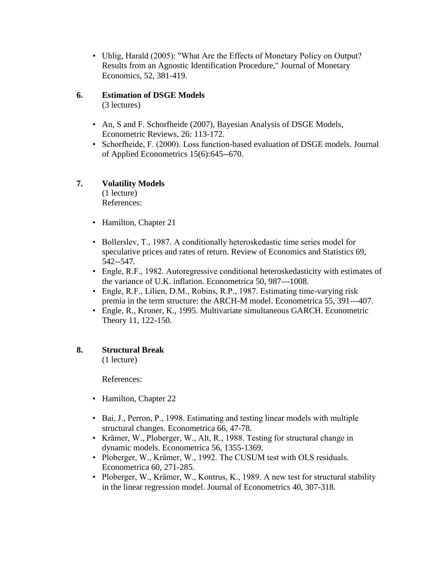• Uhlig, Harald (2005): "What Are the Effects of Monetary Policy on Output? Results from an Agnostic Identification Procedure," Journal of Monetary Economics, 52, 381-419.

# **6. Estimation of DSGE Models**

(3 lectures)

- An, S and F. Schorfheide (2007), Bayesian Analysis of DSGE Models, Econometric Reviews, 26: 113-172.
- Schorfheide, F. (2000). Loss function-based evaluation of DSGE models. Journal of Applied Econometrics 15(6):645--670.

# **7. Volatility Models**

(1 lecture) References:

- Hamilton, Chapter 21
- Bollerslev, T., 1987. A conditionally heteroskedastic time series model for speculative prices and rates of return. Review of Economics and Statistics 69, 542--547.
- Engle, R.F., 1982. Autoregressive conditional heteroskedasticity with estimates of the variance of U.K. inflation. Econometrica 50, 987---1008.
- Engle, R.F., Lilien, D.M., Robins, R.P., 1987. Estimating time-varying risk premia in the term structure: the ARCH-M model. Econometrica 55, 391---407.
- Engle, R., Kroner, K., 1995. Multivariate simultaneous GARCH. Econometric Theory 11, 122-150.

# **8. Structural Break**

(1 lecture)

References:

- Hamilton, Chapter 22
- Bai, J., Perron, P., 1998. Estimating and testing linear models with multiple structural changes. Econometrica 66, 47-78.
- Krämer, W., Ploberger, W., Alt, R., 1988. Testing for structural change in dynamic models. Econometrica 56, 1355-1369.
- Ploberger, W., Krämer, W., 1992. The CUSUM test with OLS residuals. Econometrica 60, 271-285.
- Ploberger, W., Krämer, W., Kontrus, K., 1989. A new test for structural stability in the linear regression model. Journal of Econometrics 40, 307-318.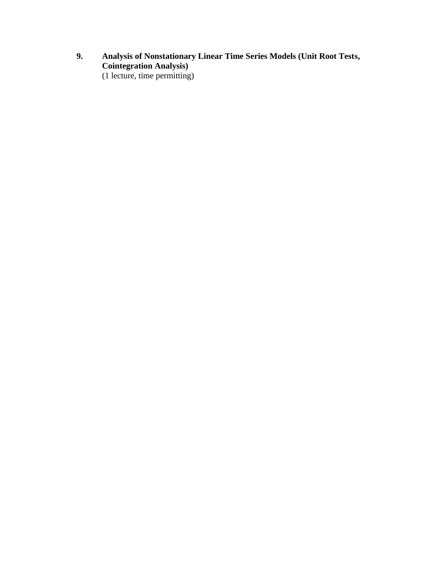**9. Analysis of Nonstationary Linear Time Series Models (Unit Root Tests, Cointegration Analysis)**  (1 lecture, time permitting)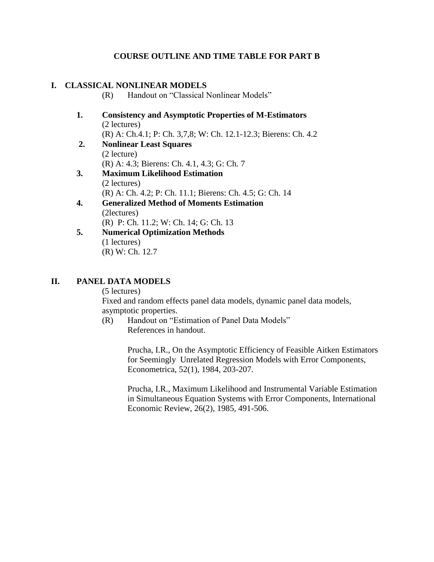# **COURSE OUTLINE AND TIME TABLE FOR PART B**

# **I. CLASSICAL NONLINEAR MODELS**

(R) Handout on "Classical Nonlinear Models"

- **1. Consistency and Asymptotic Properties of M-Estimators** (2 lectures) (R) A: Ch.4.1; P: Ch. 3,7,8; W: Ch. 12.1-12.3; Bierens: Ch. 4.2
- **2. Nonlinear Least Squares** (2 lecture)
	- (R) A: 4.3; Bierens: Ch. 4.1, 4.3; G: Ch. 7
- **3. Maximum Likelihood Estimation** (2 lectures) (R) A: Ch. 4.2; P: Ch. 11.1; Bierens: Ch. 4.5; G: Ch. 14
- **4. Generalized Method of Moments Estimation** (2lectures) (R) P: Ch. 11.2; W: Ch. 14; G: Ch. 13
- **5. Numerical Optimization Methods** (1 lectures) (R) W: Ch. 12.7

# **II. PANEL DATA MODELS**

(5 lectures)

Fixed and random effects panel data models, dynamic panel data models, asymptotic properties.

(R) Handout on "Estimation of Panel Data Models" References in handout.

> Prucha, I.R., On the Asymptotic Efficiency of Feasible Aitken Estimators for Seemingly Unrelated Regression Models with Error Components, Econometrica, 52(1), 1984, 203-207.

> Prucha, I.R., Maximum Likelihood and Instrumental Variable Estimation in Simultaneous Equation Systems with Error Components, International Economic Review, 26(2), 1985, 491-506.